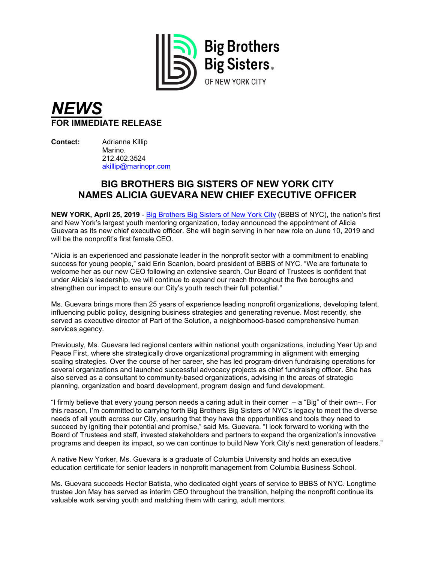

## *NEWS* **FOR IMMEDIATE RELEASE**

**Contact:** Adrianna Killip Marino. 212.402.3524 [akillip@marinopr.com](mailto:akillip@marinopr.com)

## **BIG BROTHERS BIG SISTERS OF NEW YORK CITY NAMES ALICIA GUEVARA NEW CHIEF EXECUTIVE OFFICER**

**NEW YORK, April 25, 2019** - [Big Brothers Big Sisters of New York City](http://www.bigsnyc.org/) (BBBS of NYC), the nation's first and New York's largest youth mentoring organization, today announced the appointment of Alicia Guevara as its new chief executive officer. She will begin serving in her new role on June 10, 2019 and will be the nonprofit's first female CEO.

"Alicia is an experienced and passionate leader in the nonprofit sector with a commitment to enabling success for young people," said Erin Scanlon, board president of BBBS of NYC. "We are fortunate to welcome her as our new CEO following an extensive search. Our Board of Trustees is confident that under Alicia's leadership, we will continue to expand our reach throughout the five boroughs and strengthen our impact to ensure our City's youth reach their full potential."

Ms. Guevara brings more than 25 years of experience leading nonprofit organizations, developing talent, influencing public policy, designing business strategies and generating revenue. Most recently, she served as executive director of Part of the Solution, a neighborhood-based comprehensive human services agency.

Previously, Ms. Guevara led regional centers within national youth organizations, including Year Up and Peace First, where she strategically drove organizational programming in alignment with emerging scaling strategies. Over the course of her career, she has led program-driven fundraising operations for several organizations and launched successful advocacy projects as chief fundraising officer. She has also served as a consultant to community-based organizations, advising in the areas of strategic planning, organization and board development, program design and fund development.

"I firmly believe that every young person needs a caring adult in their corner – a "Big" of their own–. For this reason, I'm committed to carrying forth Big Brothers Big Sisters of NYC's legacy to meet the diverse needs of all youth across our City, ensuring that they have the opportunities and tools they need to succeed by igniting their potential and promise," said Ms. Guevara. "I look forward to working with the Board of Trustees and staff, invested stakeholders and partners to expand the organization's innovative programs and deepen its impact, so we can continue to build New York City's next generation of leaders."

A native New Yorker, Ms. Guevara is a graduate of Columbia University and holds an executive education certificate for senior leaders in nonprofit management from Columbia Business School.

Ms. Guevara succeeds Hector Batista, who dedicated eight years of service to BBBS of NYC. Longtime trustee Jon May has served as interim CEO throughout the transition, helping the nonprofit continue its valuable work serving youth and matching them with caring, adult mentors.